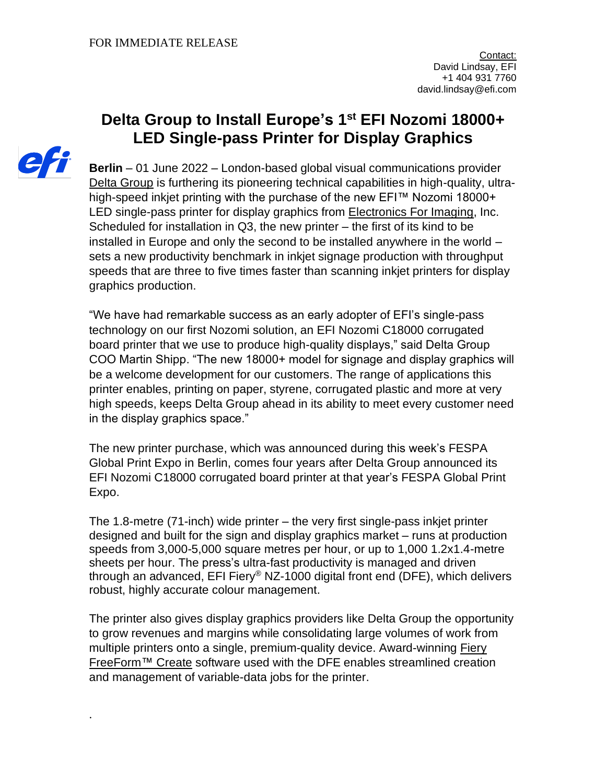## **Delta Group to Install Europe's 1 st EFI Nozomi 18000+ LED Single-pass Printer for Display Graphics**



.

**Berlin** – 01 June 2022 – London-based global visual communications provider [Delta Group](https://thedeltagroup.co.uk/) is furthering its pioneering technical capabilities in high-quality, ultrahigh-speed inkjet printing with the purchase of the new EFI™ Nozomi 18000+ LED single-pass printer for display graphics from **Electronics For Imaging**, Inc. Scheduled for installation in Q3, the new printer – the first of its kind to be installed in Europe and only the second to be installed anywhere in the world – sets a new productivity benchmark in inkjet signage production with throughput speeds that are three to five times faster than scanning inkjet printers for display graphics production.

"We have had remarkable success as an early adopter of EFI's single-pass technology on our first Nozomi solution, an EFI Nozomi C18000 corrugated board printer that we use to produce high-quality displays," said Delta Group COO Martin Shipp. "The new 18000+ model for signage and display graphics will be a welcome development for our customers. The range of applications this printer enables, printing on paper, styrene, corrugated plastic and more at very high speeds, keeps Delta Group ahead in its ability to meet every customer need in the display graphics space."

The new printer purchase, which was announced during this week's FESPA Global Print Expo in Berlin, comes four years after Delta Group announced its EFI Nozomi C18000 corrugated board printer at that year's FESPA Global Print Expo.

The 1.8-metre (71-inch) wide printer – the very first single-pass inkjet printer designed and built for the sign and display graphics market – runs at production speeds from 3,000-5,000 square metres per hour, or up to 1,000 1.2x1.4-metre sheets per hour. The press's ultra-fast productivity is managed and driven through an advanced, EFI Fiery® NZ-1000 digital front end (DFE), which delivers robust, highly accurate colour management.

The printer also gives display graphics providers like Delta Group the opportunity to grow revenues and margins while consolidating large volumes of work from multiple printers onto a single, premium-quality device. Award-winning [Fiery](https://www.efi.com/products/fiery-servers-and-software/fiery-workflow-suite/fiery-freeform-create/overview/?utm_source=press_release&utm_medium=email&utm_campaign=durham_nozomi) [FreeForm™](https://www.efi.com/products/fiery-servers-and-software/fiery-workflow-suite/fiery-freeform-create/overview/?utm_source=press_release&utm_medium=email&utm_campaign=durham_nozomi) Create software used with the DFE enables streamlined creation and management of variable-data jobs for the printer.